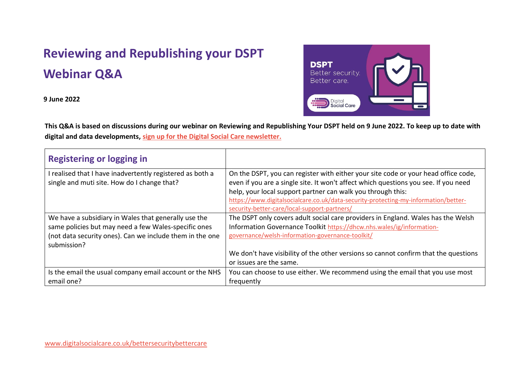## **Reviewing and Republishing your DSPT Webinar Q&A**

**9 June 2022**



**This Q&A is based on discussions during our webinar on Reviewing and Republishing Your DSPT held on 9 June 2022. To keep up to date with digital and data developments, [sign up for the Digital Social Care newsletter.](https://www.digitalsocialcare.co.uk/newsletter-signup/)**

| <b>Registering or logging in</b>                                                                       |                                                                                                                                                                           |
|--------------------------------------------------------------------------------------------------------|---------------------------------------------------------------------------------------------------------------------------------------------------------------------------|
| realised that I have inadvertently registered as both a<br>single and muti site. How do I change that? | On the DSPT, you can register with either your site code or your head office code,<br>even if you are a single site. It won't affect which questions you see. If you need |
|                                                                                                        | help, your local support partner can walk you through this:                                                                                                               |
|                                                                                                        | https://www.digitalsocialcare.co.uk/data-security-protecting-my-information/better-<br>security-better-care/local-support-partners/                                       |
| We have a subsidiary in Wales that generally use the                                                   | The DSPT only covers adult social care providers in England. Wales has the Welsh                                                                                          |
| same policies but may need a few Wales-specific ones                                                   | Information Governance Toolkit https://dhcw.nhs.wales/ig/information-                                                                                                     |
| (not data security ones). Can we include them in the one<br>submission?                                | governance/welsh-information-governance-toolkit/                                                                                                                          |
|                                                                                                        | We don't have visibility of the other versions so cannot confirm that the questions                                                                                       |
|                                                                                                        | or issues are the same.                                                                                                                                                   |
| Is the email the usual company email account or the NHS                                                | You can choose to use either. We recommend using the email that you use most                                                                                              |
| email one?                                                                                             | frequently                                                                                                                                                                |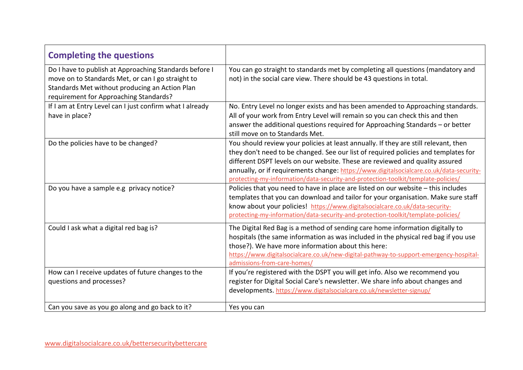| <b>Completing the questions</b>                                                                                                                                                                         |                                                                                                                                                                                                                                                                                                                                                                                                                                           |
|---------------------------------------------------------------------------------------------------------------------------------------------------------------------------------------------------------|-------------------------------------------------------------------------------------------------------------------------------------------------------------------------------------------------------------------------------------------------------------------------------------------------------------------------------------------------------------------------------------------------------------------------------------------|
| Do I have to publish at Approaching Standards before I<br>move on to Standards Met, or can I go straight to<br>Standards Met without producing an Action Plan<br>requirement for Approaching Standards? | You can go straight to standards met by completing all questions (mandatory and<br>not) in the social care view. There should be 43 questions in total.                                                                                                                                                                                                                                                                                   |
| If I am at Entry Level can I just confirm what I already<br>have in place?                                                                                                                              | No. Entry Level no longer exists and has been amended to Approaching standards.<br>All of your work from Entry Level will remain so you can check this and then<br>answer the additional questions required for Approaching Standards - or better<br>still move on to Standards Met.                                                                                                                                                      |
| Do the policies have to be changed?                                                                                                                                                                     | You should review your policies at least annually. If they are still relevant, then<br>they don't need to be changed. See our list of required policies and templates for<br>different DSPT levels on our website. These are reviewed and quality assured<br>annually, or if requirements change: https://www.digitalsocialcare.co.uk/data-security-<br>protecting-my-information/data-security-and-protection-toolkit/template-policies/ |
| Do you have a sample e.g privacy notice?                                                                                                                                                                | Policies that you need to have in place are listed on our website - this includes<br>templates that you can download and tailor for your organisation. Make sure staff<br>know about your policies! https://www.digitalsocialcare.co.uk/data-security-<br>protecting-my-information/data-security-and-protection-toolkit/template-policies/                                                                                               |
| Could I ask what a digital red bag is?                                                                                                                                                                  | The Digital Red Bag is a method of sending care home information digitally to<br>hospitals (the same information as was included in the physical red bag if you use<br>those?). We have more information about this here:<br>https://www.digitalsocialcare.co.uk/new-digital-pathway-to-support-emergency-hospital-<br>admissions-from-care-homes/                                                                                        |
| How can I receive updates of future changes to the<br>questions and processes?                                                                                                                          | If you're registered with the DSPT you will get info. Also we recommend you<br>register for Digital Social Care's newsletter. We share info about changes and<br>developments. https://www.digitalsocialcare.co.uk/newsletter-signup/                                                                                                                                                                                                     |
| Can you save as you go along and go back to it?                                                                                                                                                         | Yes you can                                                                                                                                                                                                                                                                                                                                                                                                                               |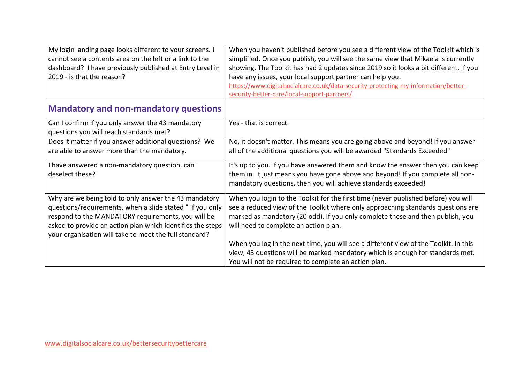| My login landing page looks different to your screens. I<br>cannot see a contents area on the left or a link to the<br>dashboard? I have previously published at Entry Level in<br>2019 - is that the reason?                                                                                   | When you haven't published before you see a different view of the Toolkit which is<br>simplified. Once you publish, you will see the same view that Mikaela is currently<br>showing. The Toolkit has had 2 updates since 2019 so it looks a bit different. If you<br>have any issues, your local support partner can help you.<br>https://www.digitalsocialcare.co.uk/data-security-protecting-my-information/better-<br>security-better-care/local-support-partners/ |
|-------------------------------------------------------------------------------------------------------------------------------------------------------------------------------------------------------------------------------------------------------------------------------------------------|-----------------------------------------------------------------------------------------------------------------------------------------------------------------------------------------------------------------------------------------------------------------------------------------------------------------------------------------------------------------------------------------------------------------------------------------------------------------------|
| <b>Mandatory and non-mandatory questions</b>                                                                                                                                                                                                                                                    |                                                                                                                                                                                                                                                                                                                                                                                                                                                                       |
| Can I confirm if you only answer the 43 mandatory<br>questions you will reach standards met?                                                                                                                                                                                                    | Yes - that is correct.                                                                                                                                                                                                                                                                                                                                                                                                                                                |
| Does it matter if you answer additional questions? We<br>are able to answer more than the mandatory.                                                                                                                                                                                            | No, it doesn't matter. This means you are going above and beyond! If you answer<br>all of the additional questions you will be awarded "Standards Exceeded"                                                                                                                                                                                                                                                                                                           |
| I have answered a non-mandatory question, can I<br>deselect these?                                                                                                                                                                                                                              | It's up to you. If you have answered them and know the answer then you can keep<br>them in. It just means you have gone above and beyond! If you complete all non-<br>mandatory questions, then you will achieve standards exceeded!                                                                                                                                                                                                                                  |
| Why are we being told to only answer the 43 mandatory<br>questions/requirements, when a slide stated "If you only<br>respond to the MANDATORY requirements, you will be<br>asked to provide an action plan which identifies the steps<br>your organisation will take to meet the full standard? | When you login to the Toolkit for the first time (never published before) you will<br>see a reduced view of the Toolkit where only approaching standards questions are<br>marked as mandatory (20 odd). If you only complete these and then publish, you<br>will need to complete an action plan.                                                                                                                                                                     |
|                                                                                                                                                                                                                                                                                                 | When you log in the next time, you will see a different view of the Toolkit. In this<br>view, 43 questions will be marked mandatory which is enough for standards met.<br>You will not be required to complete an action plan.                                                                                                                                                                                                                                        |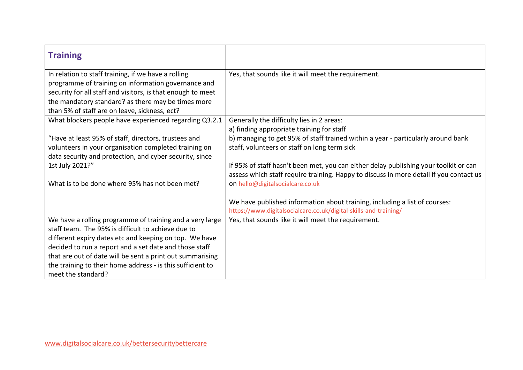| Yes, that sounds like it will meet the requirement.                                                                                                                            |
|--------------------------------------------------------------------------------------------------------------------------------------------------------------------------------|
|                                                                                                                                                                                |
|                                                                                                                                                                                |
|                                                                                                                                                                                |
| Generally the difficulty lies in 2 areas:                                                                                                                                      |
| a) finding appropriate training for staff                                                                                                                                      |
| b) managing to get 95% of staff trained within a year - particularly around bank                                                                                               |
| staff, volunteers or staff on long term sick                                                                                                                                   |
|                                                                                                                                                                                |
| If 95% of staff hasn't been met, you can either delay publishing your toolkit or can<br>assess which staff require training. Happy to discuss in more detail if you contact us |
| on hello@digitalsocialcare.co.uk                                                                                                                                               |
| We have published information about training, including a list of courses:<br>https://www.digitalsocialcare.co.uk/digital-skills-and-training/                                 |
| Yes, that sounds like it will meet the requirement.                                                                                                                            |
|                                                                                                                                                                                |
|                                                                                                                                                                                |
|                                                                                                                                                                                |
|                                                                                                                                                                                |
|                                                                                                                                                                                |
|                                                                                                                                                                                |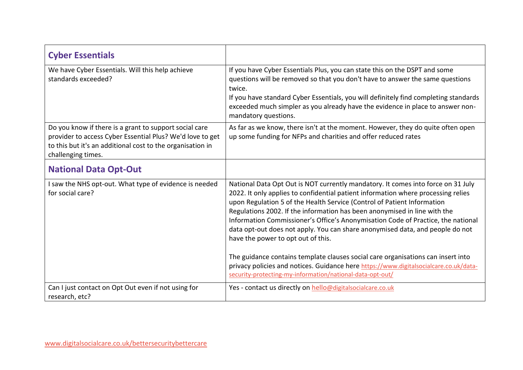| <b>Cyber Essentials</b>                                                                                                                                                                                 |                                                                                                                                                                                                                                                                                                                                                                                                                                                                                                                                                                                                                              |
|---------------------------------------------------------------------------------------------------------------------------------------------------------------------------------------------------------|------------------------------------------------------------------------------------------------------------------------------------------------------------------------------------------------------------------------------------------------------------------------------------------------------------------------------------------------------------------------------------------------------------------------------------------------------------------------------------------------------------------------------------------------------------------------------------------------------------------------------|
| We have Cyber Essentials. Will this help achieve<br>standards exceeded?                                                                                                                                 | If you have Cyber Essentials Plus, you can state this on the DSPT and some<br>questions will be removed so that you don't have to answer the same questions<br>twice.<br>If you have standard Cyber Essentials, you will definitely find completing standards<br>exceeded much simpler as you already have the evidence in place to answer non-<br>mandatory questions.                                                                                                                                                                                                                                                      |
| Do you know if there is a grant to support social care<br>provider to access Cyber Essential Plus? We'd love to get<br>to this but it's an additional cost to the organisation in<br>challenging times. | As far as we know, there isn't at the moment. However, they do quite often open<br>up some funding for NFPs and charities and offer reduced rates                                                                                                                                                                                                                                                                                                                                                                                                                                                                            |
| <b>National Data Opt-Out</b>                                                                                                                                                                            |                                                                                                                                                                                                                                                                                                                                                                                                                                                                                                                                                                                                                              |
| I saw the NHS opt-out. What type of evidence is needed<br>for social care?                                                                                                                              | National Data Opt Out is NOT currently mandatory. It comes into force on 31 July<br>2022. It only applies to confidential patient information where processing relies<br>upon Regulation 5 of the Health Service (Control of Patient Information<br>Regulations 2002. If the information has been anonymised in line with the<br>Information Commissioner's Office's Anonymisation Code of Practice, the national<br>data opt-out does not apply. You can share anonymised data, and people do not<br>have the power to opt out of this.<br>The guidance contains template clauses social care organisations can insert into |
|                                                                                                                                                                                                         | privacy policies and notices. Guidance here https://www.digitalsocialcare.co.uk/data-<br>security-protecting-my-information/national-data-opt-out/                                                                                                                                                                                                                                                                                                                                                                                                                                                                           |
| Can I just contact on Opt Out even if not using for<br>research, etc?                                                                                                                                   | Yes - contact us directly on hello@digitalsocialcare.co.uk                                                                                                                                                                                                                                                                                                                                                                                                                                                                                                                                                                   |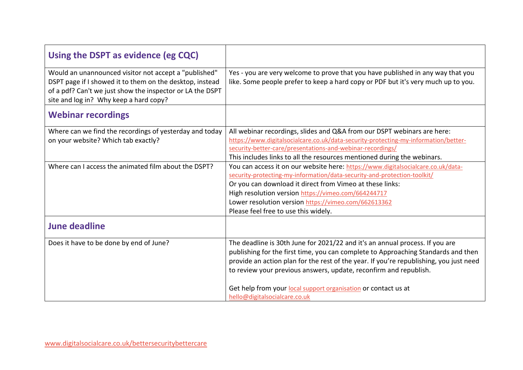| Using the DSPT as evidence (eg CQC)                                                                                                                                                                                      |                                                                                                                                                                                                                                                                                                                                                                                                                                     |
|--------------------------------------------------------------------------------------------------------------------------------------------------------------------------------------------------------------------------|-------------------------------------------------------------------------------------------------------------------------------------------------------------------------------------------------------------------------------------------------------------------------------------------------------------------------------------------------------------------------------------------------------------------------------------|
| Would an unannounced visitor not accept a "published"<br>DSPT page if I showed it to them on the desktop, instead<br>of a pdf? Can't we just show the inspector or LA the DSPT<br>site and log in? Why keep a hard copy? | Yes - you are very welcome to prove that you have published in any way that you<br>like. Some people prefer to keep a hard copy or PDF but it's very much up to you.                                                                                                                                                                                                                                                                |
| <b>Webinar recordings</b>                                                                                                                                                                                                |                                                                                                                                                                                                                                                                                                                                                                                                                                     |
| Where can we find the recordings of yesterday and today<br>on your website? Which tab exactly?                                                                                                                           | All webinar recordings, slides and Q&A from our DSPT webinars are here:<br>https://www.digitalsocialcare.co.uk/data-security-protecting-my-information/better-<br>security-better-care/presentations-and-webinar-recordings/<br>This includes links to all the resources mentioned during the webinars.                                                                                                                             |
| Where can I access the animated film about the DSPT?                                                                                                                                                                     | You can access it on our website here: https://www.digitalsocialcare.co.uk/data-<br>security-protecting-my-information/data-security-and-protection-toolkit/<br>Or you can download it direct from Vimeo at these links:<br>High resolution version https://vimeo.com/664244717<br>Lower resolution version https://vimeo.com/662613362<br>Please feel free to use this widely.                                                     |
| <b>June deadline</b>                                                                                                                                                                                                     |                                                                                                                                                                                                                                                                                                                                                                                                                                     |
| Does it have to be done by end of June?                                                                                                                                                                                  | The deadline is 30th June for 2021/22 and it's an annual process. If you are<br>publishing for the first time, you can complete to Approaching Standards and then<br>provide an action plan for the rest of the year. If you're republishing, you just need<br>to review your previous answers, update, reconfirm and republish.<br>Get help from your local support organisation or contact us at<br>hello@digitalsocialcare.co.uk |